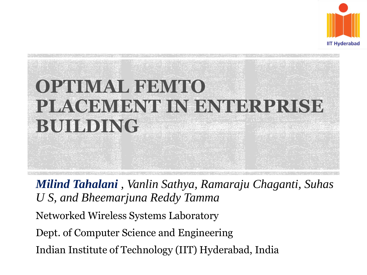

### **OPTIMAL FEMITO PLACEMENT IN ENTERPRISE BUILDING**

*Milind Tahalani , Vanlin Sathya, Ramaraju Chaganti, Suhas U S, and Bheemarjuna Reddy Tamma* Networked Wireless Systems Laboratory Dept. of Computer Science and Engineering Indian Institute of Technology (IIT) Hyderabad, India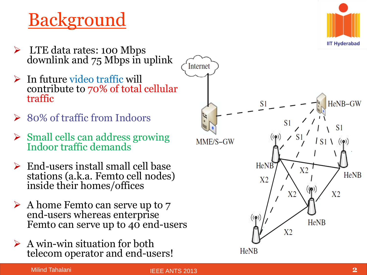#### Background

- > LTE data rates: 100 Mbps downlink and 75 Mbps in uplink
- $\triangleright$  In future video traffic will contribute to 70% of total cellular traffic
- **► 80% of traffic from Indoors**
- $\triangleright$  Small cells can address growing Indoor traffic demands
- $\triangleright$  End-users install small cell base stations (a.k.a. Femto cell nodes) inside their homes/offices
- $\triangleright$  A home Femto can serve up to 7 end -users whereas enterprise Femto can serve up to 40 end-users
- $\triangleright$  A win-win situation for both telecom operator and end -users!



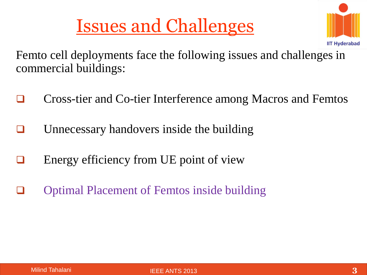#### Issues and Challenges



Femto cell deployments face the following issues and challenges in commercial buildings:

- Cross-tier and Co-tier Interference among Macros and Femtos
- Unnecessary handovers inside the building
- $\Box$  Energy efficiency from UE point of view
- **The Optimal Placement of Femtos inside building**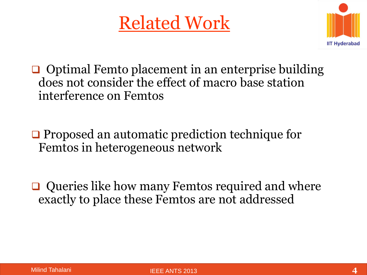#### Related Work



- $\Box$  Optimal Femto placement in an enterprise building does not consider the effect of macro base station interference on Femtos
- **□** Proposed an automatic prediction technique for Femtos in heterogeneous network
- $\Box$  Queries like how many Femtos required and where exactly to place these Femtos are not addressed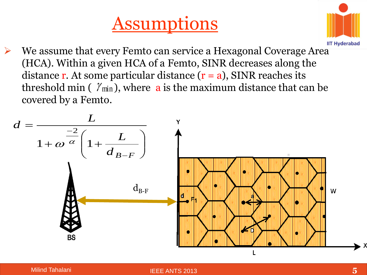



 We assume that every Femto can service a Hexagonal Coverage Area (HCA). Within a given HCA of a Femto, SINR decreases along the distance **r**. At some particular distance  $(r = a)$ , SINR reaches its threshold min (  $\mathcal{V}_{\text{min}}$  ), where  $\, {\bf a} \,$  is the maximum distance that can be covered by a Femto.

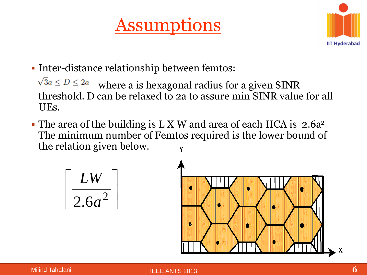#### Assumptions



Inter-distance relationship between femtos:

 $\sqrt{3}a \le D \le 2a$  where a is hexagonal radius for a given SINR threshold. D can be relaxed to 2a to assure min SINR value for all UEs.

• The area of the building is L X W and area of each HCA is 2.6a<sup>2</sup> The minimum number of Femtos required is the lower bound of the relation given below.

$$
\left\lceil \frac{LW}{2.6a^2} \right\rceil
$$

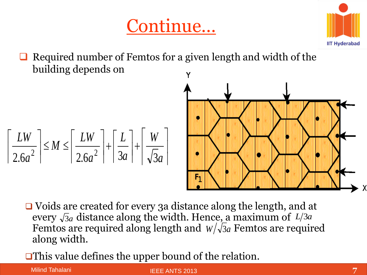



 Required number of Femtos for a given length and width of the building depends on





 Voids are created for every 3a distance along the length, and at every  $\sqrt{3}a$  distance along the width. Hence, a maximum of  $L/3a$ Femtos are required along length and  $W/\sqrt{3}a$  Femtos are required along width. every  $\sqrt{3}a$  distance along the width. Hence, a maximed<br>Femtos are required along length and  $W/\sqrt{3}a$  Femto<br>along width.<br>**This value defines the upper bound of the relation.** *W* /  $\sqrt{3}a$ 

Milind Tahalani

IEEE ANTS 2013 **7**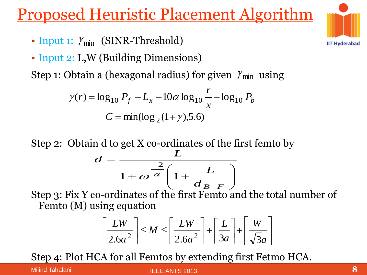#### Proposed Heuristic Placement Algorithm

- Input 1:  $\gamma_{\min}$  (SINR-Threshold)
- Input 2: L, W (Building Dimensions)

Step 1: Obtain a (hexagonal radius) for given  $\gamma_{\text{min}}$  using

$$
\gamma(r) = \log_{10} P_f - L_x - 10\alpha \log_{10} \frac{r}{x} - \log_{10} P_b
$$
  

$$
C = \min(\log_2(1+\gamma), 5.6)
$$

Step 2: Obtain d to get X co-ordinates of the first femto by

$$
d = \frac{L}{1 + \omega^{\frac{-2}{\alpha}} \left(1 + \frac{L}{d_{B-F}}\right)}
$$

Step 3: Fix Y co-ordinates of the first Femto and the total number of Femto (M) using equation

$$
\left\lceil \frac{LW}{2.6a^2} \right\rceil \le M \le \left\lceil \frac{LW}{2.6a^2} \right\rceil + \left\lceil \frac{L}{3a} \right\rceil + \left\lceil \frac{W}{\sqrt{3}a} \right\rceil
$$

Step 4: Plot HCA for all Femtos by extending first Fetmo HCA.

Milind Tahalani

IEEE ANTS 2013 **8**

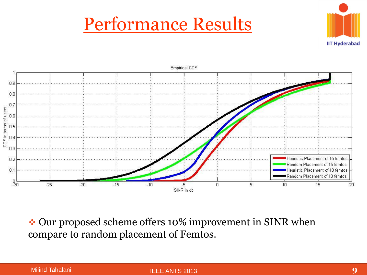#### Performance Results





◆ Our proposed scheme offers 10% improvement in SINR when compare to random placement of Femtos.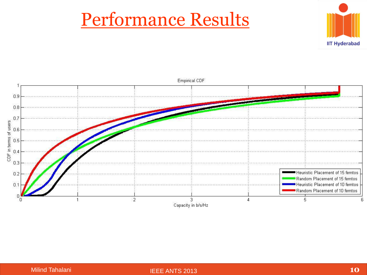#### Performance Results



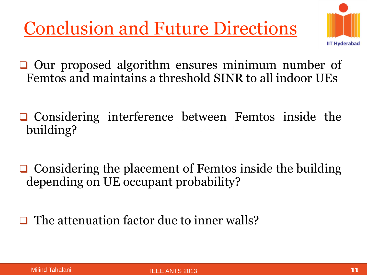Conclusion and Future Directions



 $\Box$  Our proposed algorithm ensures minimum number of Femtos and maintains a threshold SINR to all indoor UEs

- $\Box$  Considering interference between Femtos inside the building?
- $\Box$  Considering the placement of Femtos inside the building depending on UE occupant probability?

 $\Box$  The attenuation factor due to inner walls?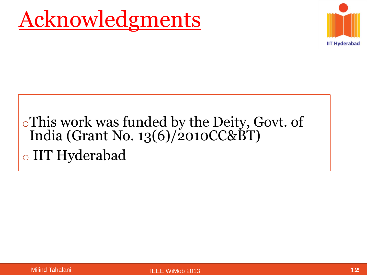# Acknowledgments



#### oThis work was funded by the Deity, Govt. of India (Grant No. 13(6)/2010CC&BT) o IIT Hyderabad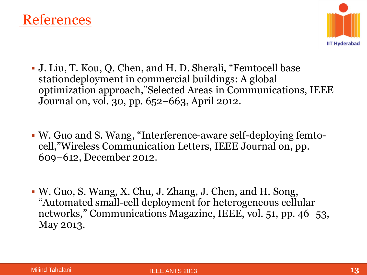



- J. Liu, T. Kou, Q. Chen, and H. D. Sherali, "Femtocell base stationdeployment in commercial buildings: A global optimization approach,"Selected Areas in Communications, IEEE Journal on, vol. 30, pp. 652–663, April 2012.
- W. Guo and S. Wang, "Interference-aware self-deploying femtocell,"Wireless Communication Letters, IEEE Journal on, pp. 609–612, December 2012.
- W. Guo, S. Wang, X. Chu, J. Zhang, J. Chen, and H. Song, "Automated small-cell deployment for heterogeneous cellular networks," Communications Magazine, IEEE, vol. 51, pp. 46–53, May 2013.